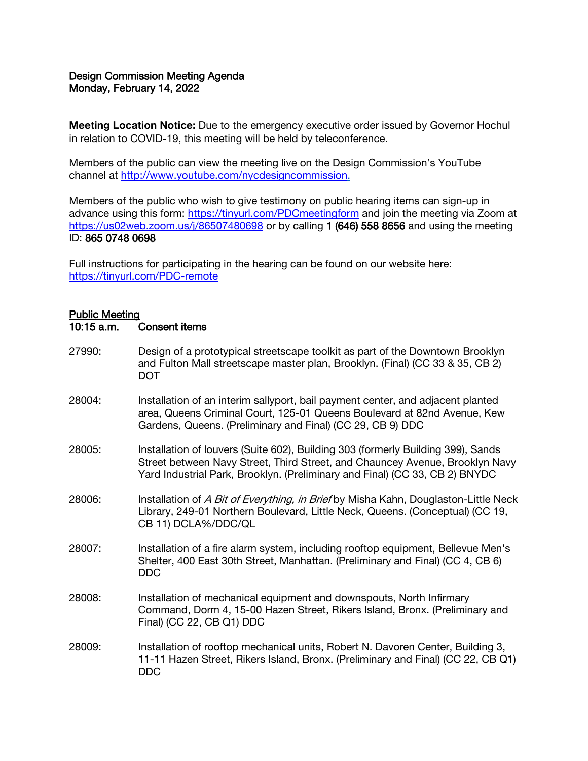### Design Commission Meeting Agenda Monday, February 14, 2022

Meeting Location Notice: Due to the emergency executive order issued by Governor Hochul in relation to COVID-19, this meeting will be held by teleconference.

Members of the public can view the meeting live on the Design Commission's YouTube channel at [http://www.youtube.com/nycdesigncommission.](http://www.youtube.com/nycdesigncommission)

Members of the public who wish to give testimony on public hearing items can sign-up in advance using this form:<https://tinyurl.com/PDCmeetingform> and join the meeting via Zoom at <https://us02web.zoom.us/j/86507480698> or by calling 1 (646) 558 8656 and using the meeting ID: 865 0748 0698

Full instructions for participating in the hearing can be found on our website here: <https://tinyurl.com/PDC-remote>

# Public Meeting

#### 10:15 a.m. Consent items

27990: Design of a prototypical streetscape toolkit as part of the Downtown Brooklyn and Fulton Mall streetscape master plan, Brooklyn. (Final) (CC 33 & 35, CB 2) DOT 28004: Installation of an interim sallyport, bail payment center, and adjacent planted area, Queens Criminal Court, 125-01 Queens Boulevard at 82nd Avenue, Kew Gardens, Queens. (Preliminary and Final) (CC 29, CB 9) DDC 28005: Installation of louvers (Suite 602), Building 303 (formerly Building 399), Sands Street between Navy Street, Third Street, and Chauncey Avenue, Brooklyn Navy Yard Industrial Park, Brooklyn. (Preliminary and Final) (CC 33, CB 2) BNYDC 28006: Installation of A Bit of Everything, in Brief by Misha Kahn, Douglaston-Little Neck Library, 249-01 Northern Boulevard, Little Neck, Queens. (Conceptual) (CC 19, CB 11) DCLA%/DDC/QL 28007: Installation of a fire alarm system, including rooftop equipment, Bellevue Men's Shelter, 400 East 30th Street, Manhattan. (Preliminary and Final) (CC 4, CB 6) DDC 28008: Installation of mechanical equipment and downspouts, North Infirmary Command, Dorm 4, 15-00 Hazen Street, Rikers Island, Bronx. (Preliminary and Final) (CC 22, CB Q1) DDC 28009: Installation of rooftop mechanical units, Robert N. Davoren Center, Building 3, 11-11 Hazen Street, Rikers Island, Bronx. (Preliminary and Final) (CC 22, CB Q1) DDC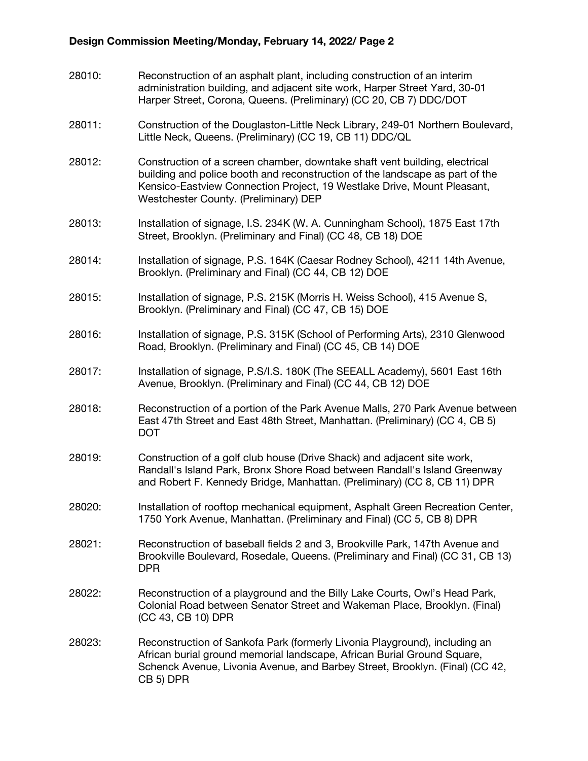# Design Commission Meeting/Monday, February 14, 2022/ Page 2

| 28010: | Reconstruction of an asphalt plant, including construction of an interim<br>administration building, and adjacent site work, Harper Street Yard, 30-01<br>Harper Street, Corona, Queens. (Preliminary) (CC 20, CB 7) DDC/DOT                                                   |
|--------|--------------------------------------------------------------------------------------------------------------------------------------------------------------------------------------------------------------------------------------------------------------------------------|
| 28011: | Construction of the Douglaston-Little Neck Library, 249-01 Northern Boulevard,<br>Little Neck, Queens. (Preliminary) (CC 19, CB 11) DDC/QL                                                                                                                                     |
| 28012: | Construction of a screen chamber, downtake shaft vent building, electrical<br>building and police booth and reconstruction of the landscape as part of the<br>Kensico-Eastview Connection Project, 19 Westlake Drive, Mount Pleasant,<br>Westchester County. (Preliminary) DEP |
| 28013: | Installation of signage, I.S. 234K (W. A. Cunningham School), 1875 East 17th<br>Street, Brooklyn. (Preliminary and Final) (CC 48, CB 18) DOE                                                                                                                                   |
| 28014: | Installation of signage, P.S. 164K (Caesar Rodney School), 4211 14th Avenue,<br>Brooklyn. (Preliminary and Final) (CC 44, CB 12) DOE                                                                                                                                           |
| 28015: | Installation of signage, P.S. 215K (Morris H. Weiss School), 415 Avenue S,<br>Brooklyn. (Preliminary and Final) (CC 47, CB 15) DOE                                                                                                                                             |
| 28016: | Installation of signage, P.S. 315K (School of Performing Arts), 2310 Glenwood<br>Road, Brooklyn. (Preliminary and Final) (CC 45, CB 14) DOE                                                                                                                                    |
| 28017: | Installation of signage, P.S/I.S. 180K (The SEEALL Academy), 5601 East 16th<br>Avenue, Brooklyn. (Preliminary and Final) (CC 44, CB 12) DOE                                                                                                                                    |
| 28018: | Reconstruction of a portion of the Park Avenue Malls, 270 Park Avenue between<br>East 47th Street and East 48th Street, Manhattan. (Preliminary) (CC 4, CB 5)<br><b>DOT</b>                                                                                                    |
| 28019: | Construction of a golf club house (Drive Shack) and adjacent site work,<br>Randall's Island Park, Bronx Shore Road between Randall's Island Greenway<br>and Robert F. Kennedy Bridge, Manhattan. (Preliminary) (CC 8, CB 11) DPR                                               |
| 28020: | Installation of rooftop mechanical equipment, Asphalt Green Recreation Center,<br>1750 York Avenue, Manhattan. (Preliminary and Final) (CC 5, CB 8) DPR                                                                                                                        |
| 28021: | Reconstruction of baseball fields 2 and 3, Brookville Park, 147th Avenue and<br>Brookville Boulevard, Rosedale, Queens. (Preliminary and Final) (CC 31, CB 13)<br><b>DPR</b>                                                                                                   |
| 28022: | Reconstruction of a playground and the Billy Lake Courts, Owl's Head Park,<br>Colonial Road between Senator Street and Wakeman Place, Brooklyn. (Final)<br>(CC 43, CB 10) DPR                                                                                                  |
| 28023: | Reconstruction of Sankofa Park (formerly Livonia Playground), including an<br>African burial ground memorial landscape, African Burial Ground Square,<br>Schenck Avenue, Livonia Avenue, and Barbey Street, Brooklyn. (Final) (CC 42,<br>CB 5) DPR                             |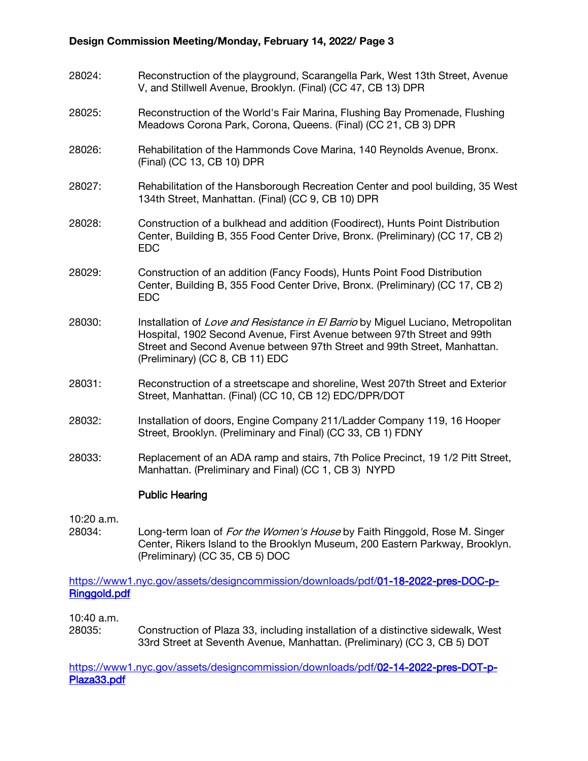# Design Commission Meeting/Monday, February 14, 2022/ Page 3

- 28024: Reconstruction of the playground, Scarangella Park, West 13th Street, Avenue V, and Stillwell Avenue, Brooklyn. (Final) (CC 47, CB 13) DPR
- 28025: Reconstruction of the World's Fair Marina, Flushing Bay Promenade, Flushing Meadows Corona Park, Corona, Queens. (Final) (CC 21, CB 3) DPR
- 28026: Rehabilitation of the Hammonds Cove Marina, 140 Reynolds Avenue, Bronx. (Final) (CC 13, CB 10) DPR
- 28027: Rehabilitation of the Hansborough Recreation Center and pool building, 35 West 134th Street, Manhattan. (Final) (CC 9, CB 10) DPR
- 28028: Construction of a bulkhead and addition (Foodirect), Hunts Point Distribution Center, Building B, 355 Food Center Drive, Bronx. (Preliminary) (CC 17, CB 2) EDC
- 28029: Construction of an addition (Fancy Foods), Hunts Point Food Distribution Center, Building B, 355 Food Center Drive, Bronx. (Preliminary) (CC 17, CB 2) EDC
- 28030: Installation of *Love and Resistance in El Barrio* by Miguel Luciano, Metropolitan Hospital, 1902 Second Avenue, First Avenue between 97th Street and 99th Street and Second Avenue between 97th Street and 99th Street, Manhattan. (Preliminary) (CC 8, CB 11) EDC
- 28031: Reconstruction of a streetscape and shoreline, West 207th Street and Exterior Street, Manhattan. (Final) (CC 10, CB 12) EDC/DPR/DOT
- 28032: Installation of doors, Engine Company 211/Ladder Company 119, 16 Hooper Street, Brooklyn. (Preliminary and Final) (CC 33, CB 1) FDNY
- 28033: Replacement of an ADA ramp and stairs, 7th Police Precinct, 19 1/2 Pitt Street, Manhattan. (Preliminary and Final) (CC 1, CB 3) NYPD

# Public Hearing

10:20 a.m.

28034: Long-term loan of *For the Women's House* by Faith Ringgold, Rose M. Singer Center, Rikers Island to the Brooklyn Museum, 200 Eastern Parkway, Brooklyn. (Preliminary) (CC 35, CB 5) DOC

[https://www1.nyc.gov/assets/designcommission/downloads/pdf/01-18-2022-pres-DOC-p-](https://www1.nyc.gov/assets/designcommission/downloads/pdf/01-18-2022-pres-DOC-p-Ringgold.pdf)[Ringgold.pdf](https://www1.nyc.gov/assets/designcommission/downloads/pdf/01-18-2022-pres-DOC-p-Ringgold.pdf)

10:40 a.m.

28035: Construction of Plaza 33, including installation of a distinctive sidewalk, West 33rd Street at Seventh Avenue, Manhattan. (Preliminary) (CC 3, CB 5) DOT

[https://www1.nyc.gov/assets/designcommission/downloads/pdf/02-14-2022-pres-DOT-p-](https://gcc02.safelinks.protection.outlook.com/?url=https%3A%2F%2Fwww1.nyc.gov%2Fassets%2Fdesigncommission%2Fdownloads%2Fpdf%2F02-14-2022-pres-DOT-p-Plaza33.pdf&data=04%7C01%7CGHan%40cityhall.nyc.gov%7C5d4ca0088eba488c249c08d9ea7369bd%7C35c828166c56443bbaf68312163cadc1%7C0%7C0%7C637798603671360460%7CUnknown%7CTWFpbGZsb3d8eyJWIjoiMC4wLjAwMDAiLCJQIjoiV2luMzIiLCJBTiI6Ik1haWwiLCJXVCI6Mn0%3D%7C3000&sdata=vjtk2GmxCAcKtyVOGXnenhjznFoZG4R2QTt07yJ28g4%3D&reserved=0)[Plaza33.pdf](https://gcc02.safelinks.protection.outlook.com/?url=https%3A%2F%2Fwww1.nyc.gov%2Fassets%2Fdesigncommission%2Fdownloads%2Fpdf%2F02-14-2022-pres-DOT-p-Plaza33.pdf&data=04%7C01%7CGHan%40cityhall.nyc.gov%7C5d4ca0088eba488c249c08d9ea7369bd%7C35c828166c56443bbaf68312163cadc1%7C0%7C0%7C637798603671360460%7CUnknown%7CTWFpbGZsb3d8eyJWIjoiMC4wLjAwMDAiLCJQIjoiV2luMzIiLCJBTiI6Ik1haWwiLCJXVCI6Mn0%3D%7C3000&sdata=vjtk2GmxCAcKtyVOGXnenhjznFoZG4R2QTt07yJ28g4%3D&reserved=0)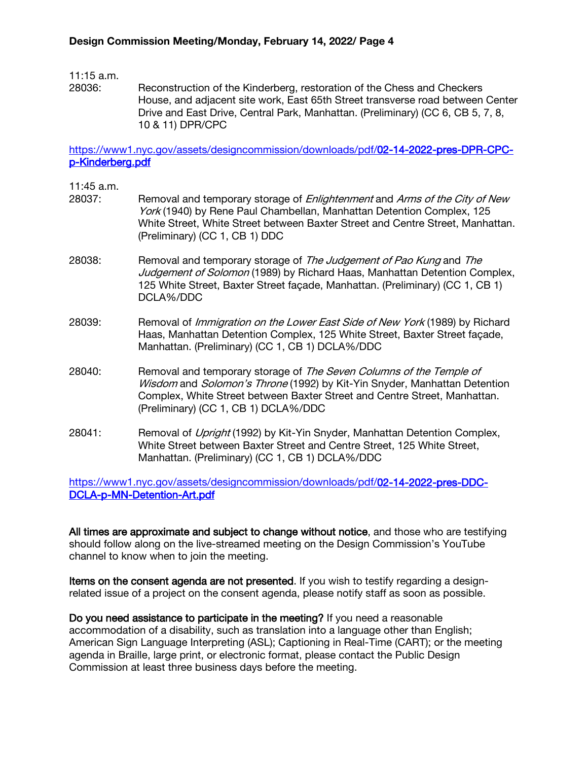### 11:15 a.m.

28036: Reconstruction of the Kinderberg, restoration of the Chess and Checkers House, and adjacent site work, East 65th Street transverse road between Center Drive and East Drive, Central Park, Manhattan. (Preliminary) (CC 6, CB 5, 7, 8, 10 & 11) DPR/CPC

[https://www1.nyc.gov/assets/designcommission/downloads/pdf/02-14-2022-pres-DPR-CPC](https://gcc02.safelinks.protection.outlook.com/?url=https%3A%2F%2Fwww1.nyc.gov%2Fassets%2Fdesigncommission%2Fdownloads%2Fpdf%2F02-14-2022-pres-DPR-CPC-p-Kinderberg.pdf&data=04%7C01%7CGHan%40cityhall.nyc.gov%7C5d4ca0088eba488c249c08d9ea7369bd%7C35c828166c56443bbaf68312163cadc1%7C0%7C0%7C637798603671516685%7CUnknown%7CTWFpbGZsb3d8eyJWIjoiMC4wLjAwMDAiLCJQIjoiV2luMzIiLCJBTiI6Ik1haWwiLCJXVCI6Mn0%3D%7C3000&sdata=ZGd4J2Ecok5XXz04bEf2tvtO%2BUse3ewZaIx3ewQBVQA%3D&reserved=0)[p-Kinderberg.pdf](https://gcc02.safelinks.protection.outlook.com/?url=https%3A%2F%2Fwww1.nyc.gov%2Fassets%2Fdesigncommission%2Fdownloads%2Fpdf%2F02-14-2022-pres-DPR-CPC-p-Kinderberg.pdf&data=04%7C01%7CGHan%40cityhall.nyc.gov%7C5d4ca0088eba488c249c08d9ea7369bd%7C35c828166c56443bbaf68312163cadc1%7C0%7C0%7C637798603671516685%7CUnknown%7CTWFpbGZsb3d8eyJWIjoiMC4wLjAwMDAiLCJQIjoiV2luMzIiLCJBTiI6Ik1haWwiLCJXVCI6Mn0%3D%7C3000&sdata=ZGd4J2Ecok5XXz04bEf2tvtO%2BUse3ewZaIx3ewQBVQA%3D&reserved=0)

- 11:45 a.m.
- 28037: Removal and temporary storage of *Enlightenment* and *Arms of the City of New* York (1940) by Rene Paul Chambellan, Manhattan Detention Complex, 125 White Street, White Street between Baxter Street and Centre Street, Manhattan. (Preliminary) (CC 1, CB 1) DDC
- 28038: Removal and temporary storage of The Judgement of Pao Kung and The Judgement of Solomon (1989) by Richard Haas, Manhattan Detention Complex, 125 White Street, Baxter Street façade, Manhattan. (Preliminary) (CC 1, CB 1) DCLA%/DDC
- 28039: Removal of *Immigration on the Lower East Side of New York* (1989) by Richard Haas, Manhattan Detention Complex, 125 White Street, Baxter Street façade, Manhattan. (Preliminary) (CC 1, CB 1) DCLA%/DDC
- 28040: Removal and temporary storage of The Seven Columns of the Temple of Wisdom and Solomon's Throne (1992) by Kit-Yin Snyder, Manhattan Detention Complex, White Street between Baxter Street and Centre Street, Manhattan. (Preliminary) (CC 1, CB 1) DCLA%/DDC
- 28041: Removal of *Upright* (1992) by Kit-Yin Snyder, Manhattan Detention Complex, White Street between Baxter Street and Centre Street, 125 White Street, Manhattan. (Preliminary) (CC 1, CB 1) DCLA%/DDC

[https://www1.nyc.gov/assets/designcommission/downloads/pdf/02-14-2022-pres-DDC-](https://gcc02.safelinks.protection.outlook.com/?url=https%3A%2F%2Fwww1.nyc.gov%2Fassets%2Fdesigncommission%2Fdownloads%2Fpdf%2F02-14-2022-pres-DDC-DCLA-p-MN-Detention-Art.pdf&data=04%7C01%7CGHan%40cityhall.nyc.gov%7C5d4ca0088eba488c249c08d9ea7369bd%7C35c828166c56443bbaf68312163cadc1%7C0%7C0%7C637798603671516685%7CUnknown%7CTWFpbGZsb3d8eyJWIjoiMC4wLjAwMDAiLCJQIjoiV2luMzIiLCJBTiI6Ik1haWwiLCJXVCI6Mn0%3D%7C3000&sdata=0RcOCthYLgJx2T9BIgrGriDP6rjfN3PBUtSPkLrP5mo%3D&reserved=0)[DCLA-p-MN-Detention-Art.pdf](https://gcc02.safelinks.protection.outlook.com/?url=https%3A%2F%2Fwww1.nyc.gov%2Fassets%2Fdesigncommission%2Fdownloads%2Fpdf%2F02-14-2022-pres-DDC-DCLA-p-MN-Detention-Art.pdf&data=04%7C01%7CGHan%40cityhall.nyc.gov%7C5d4ca0088eba488c249c08d9ea7369bd%7C35c828166c56443bbaf68312163cadc1%7C0%7C0%7C637798603671516685%7CUnknown%7CTWFpbGZsb3d8eyJWIjoiMC4wLjAwMDAiLCJQIjoiV2luMzIiLCJBTiI6Ik1haWwiLCJXVCI6Mn0%3D%7C3000&sdata=0RcOCthYLgJx2T9BIgrGriDP6rjfN3PBUtSPkLrP5mo%3D&reserved=0)

All times are approximate and subject to change without notice, and those who are testifying should follow along on the live-streamed meeting on the Design Commission's YouTube channel to know when to join the meeting.

Items on the consent agenda are not presented. If you wish to testify regarding a designrelated issue of a project on the consent agenda, please notify staff as soon as possible.

Do you need assistance to participate in the meeting? If you need a reasonable accommodation of a disability, such as translation into a language other than English; American Sign Language Interpreting (ASL); Captioning in Real-Time (CART); or the meeting agenda in Braille, large print, or electronic format, please contact the Public Design Commission at least three business days before the meeting.